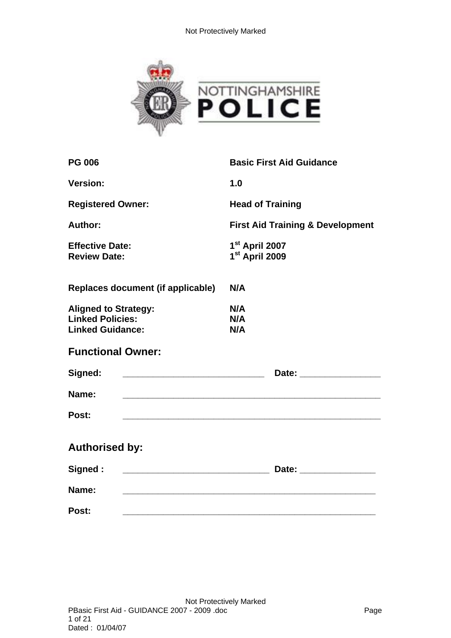

| <b>PG 006</b>                                                                     | <b>Basic First Aid Guidance</b>                            |  |  |
|-----------------------------------------------------------------------------------|------------------------------------------------------------|--|--|
| <b>Version:</b>                                                                   | 1.0                                                        |  |  |
| <b>Registered Owner:</b>                                                          | <b>Head of Training</b>                                    |  |  |
| Author:                                                                           | <b>First Aid Training &amp; Development</b>                |  |  |
| <b>Effective Date:</b><br><b>Review Date:</b>                                     | 1 <sup>st</sup> April 2007<br>1 <sup>st</sup> April 2009   |  |  |
| Replaces document (if applicable)                                                 | N/A                                                        |  |  |
| <b>Aligned to Strategy:</b><br><b>Linked Policies:</b><br><b>Linked Guidance:</b> | N/A<br>N/A<br>N/A                                          |  |  |
| <b>Functional Owner:</b>                                                          |                                                            |  |  |
| Signed:                                                                           |                                                            |  |  |
| Name:                                                                             | <u> 1989 - Johann Stoff, amerikansk politiker (* 1908)</u> |  |  |
| Post:                                                                             |                                                            |  |  |
| <b>Authorised by:</b>                                                             |                                                            |  |  |
| Signed:                                                                           |                                                            |  |  |
| Name:                                                                             |                                                            |  |  |
| Post:                                                                             |                                                            |  |  |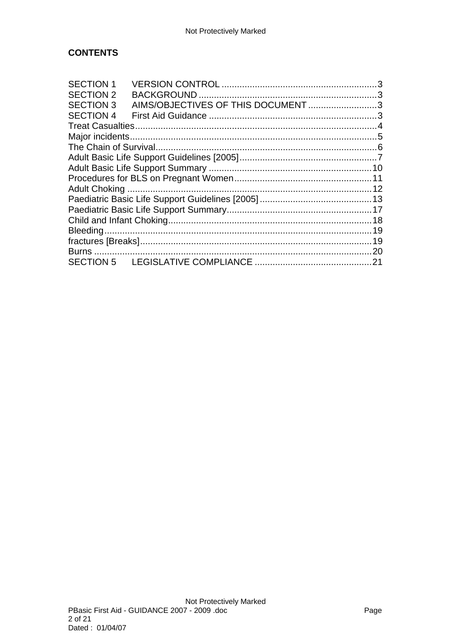# **CONTENTS**

| <b>SECTION 1</b> |  |                                   |  |  |
|------------------|--|-----------------------------------|--|--|
| <b>SECTION 2</b> |  |                                   |  |  |
| <b>SECTION 3</b> |  | AIMS/OBJECTIVES OF THIS DOCUMENT3 |  |  |
| <b>SECTION 4</b> |  |                                   |  |  |
|                  |  |                                   |  |  |
|                  |  |                                   |  |  |
|                  |  |                                   |  |  |
|                  |  |                                   |  |  |
|                  |  |                                   |  |  |
|                  |  |                                   |  |  |
|                  |  |                                   |  |  |
|                  |  |                                   |  |  |
|                  |  |                                   |  |  |
|                  |  |                                   |  |  |
|                  |  |                                   |  |  |
|                  |  |                                   |  |  |
|                  |  |                                   |  |  |
|                  |  |                                   |  |  |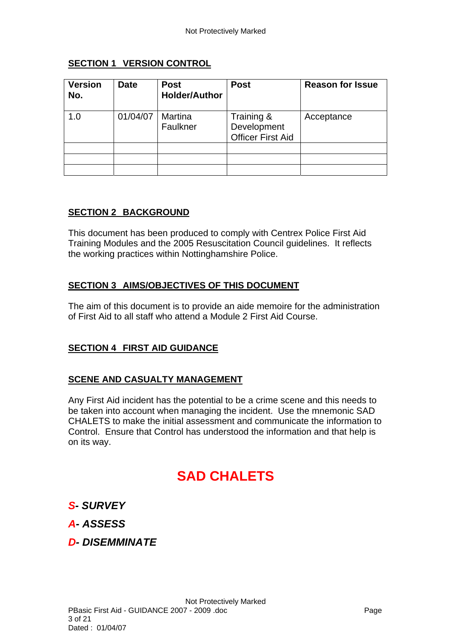### **SECTION 1 VERSION CONTROL**

<span id="page-2-0"></span>

| <b>Version</b><br>No. | <b>Date</b> | <b>Post</b><br><b>Holder/Author</b> | <b>Post</b>                                           | <b>Reason for Issue</b> |
|-----------------------|-------------|-------------------------------------|-------------------------------------------------------|-------------------------|
| 1.0                   | 01/04/07    | Martina<br>Faulkner                 | Training &<br>Development<br><b>Officer First Aid</b> | Acceptance              |
|                       |             |                                     |                                                       |                         |
|                       |             |                                     |                                                       |                         |
|                       |             |                                     |                                                       |                         |

### <span id="page-2-1"></span>**SECTION 2 BACKGROUND**

This document has been produced to comply with Centrex Police First Aid Training Modules and the 2005 Resuscitation Council guidelines. It reflects the working practices within Nottinghamshire Police.

# <span id="page-2-2"></span>**SECTION 3 AIMS/OBJECTIVES OF THIS DOCUMENT**

The aim of this document is to provide an aide memoire for the administration of First Aid to all staff who attend a Module 2 First Aid Course.

### <span id="page-2-3"></span>**SECTION 4 FIRST AID GUIDANCE**

### **SCENE AND CASUALTY MANAGEMENT**

Any First Aid incident has the potential to be a crime scene and this needs to be taken into account when managing the incident. Use the mnemonic SAD CHALETS to make the initial assessment and communicate the information to Control. Ensure that Control has understood the information and that help is on its way.

# **SAD CHALETS**

- *S- SURVEY*
- *A- ASSESS*
- *D- DISEMMINATE*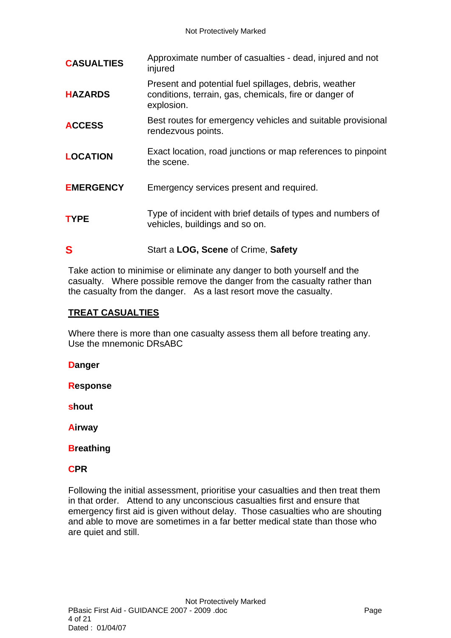| <b>CASUALTIES</b> | Approximate number of casualties - dead, injured and not<br>injured                                                           |
|-------------------|-------------------------------------------------------------------------------------------------------------------------------|
| <b>HAZARDS</b>    | Present and potential fuel spillages, debris, weather<br>conditions, terrain, gas, chemicals, fire or danger of<br>explosion. |
| <b>ACCESS</b>     | Best routes for emergency vehicles and suitable provisional<br>rendezvous points.                                             |
| <b>LOCATION</b>   | Exact location, road junctions or map references to pinpoint<br>the scene.                                                    |
| <b>EMERGENCY</b>  | Emergency services present and required.                                                                                      |
| <b>TYPE</b>       | Type of incident with brief details of types and numbers of<br>vehicles, buildings and so on.                                 |
| S                 | Start a LOG, Scene of Crime, Safety                                                                                           |

Take action to minimise or eliminate any danger to both yourself and the casualty. Where possible remove the danger from the casualty rather than the casualty from the danger. As a last resort move the casualty.

### <span id="page-3-0"></span>**TREAT CASUALTIES**

Where there is more than one casualty assess them all before treating any. Use the mnemonic DRsABC

**Danger** 

**Response** 

**shout** 

**Airway** 

**Breathing** 

### **CPR**

Following the initial assessment, prioritise your casualties and then treat them in that order. Attend to any unconscious casualties first and ensure that emergency first aid is given without delay. Those casualties who are shouting and able to move are sometimes in a far better medical state than those who are quiet and still.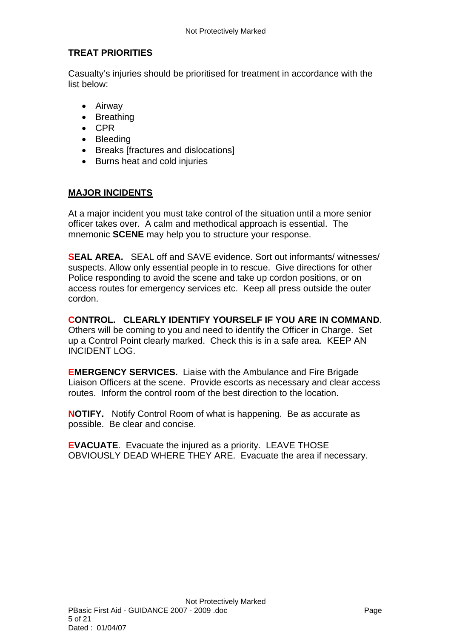# **TREAT PRIORITIES**

Casualty's injuries should be prioritised for treatment in accordance with the list below:

- Airway
- Breathing
- CPR
- Bleeding
- Breaks [fractures and dislocations]
- Burns heat and cold injuries

### <span id="page-4-0"></span>**MAJOR INCIDENTS**

At a major incident you must take control of the situation until a more senior officer takes over. A calm and methodical approach is essential. The mnemonic **SCENE** may help you to structure your response.

**SEAL AREA.** SEAL off and SAVE evidence. Sort out informants/ witnesses/ suspects. Allow only essential people in to rescue. Give directions for other Police responding to avoid the scene and take up cordon positions, or on access routes for emergency services etc. Keep all press outside the outer cordon.

**CONTROL. CLEARLY IDENTIFY YOURSELF IF YOU ARE IN COMMAND**. Others will be coming to you and need to identify the Officer in Charge. Set up a Control Point clearly marked. Check this is in a safe area. KEEP AN INCIDENT LOG.

**EMERGENCY SERVICES.** Liaise with the Ambulance and Fire Brigade Liaison Officers at the scene. Provide escorts as necessary and clear access routes. Inform the control room of the best direction to the location.

**NOTIFY.** Notify Control Room of what is happening. Be as accurate as possible. Be clear and concise.

**EVACUATE**. Evacuate the injured as a priority. LEAVE THOSE OBVIOUSLY DEAD WHERE THEY ARE. Evacuate the area if necessary.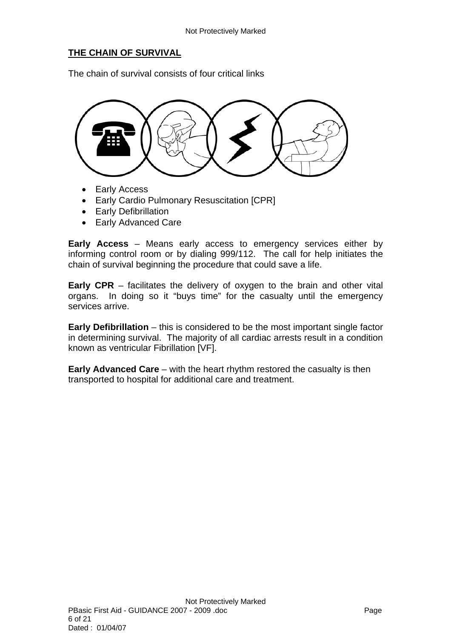# <span id="page-5-0"></span>**THE CHAIN OF SURVIVAL**

The chain of survival consists of four critical links



- Early Access
- Early Cardio Pulmonary Resuscitation [CPR]
- **•** Early Defibrillation
- Early Advanced Care

**Early Access** – Means early access to emergency services either by informing control room or by dialing 999/112. The call for help initiates the chain of survival beginning the procedure that could save a life.

**Early CPR** – facilitates the delivery of oxygen to the brain and other vital organs. In doing so it "buys time" for the casualty until the emergency services arrive.

**Early Defibrillation** – this is considered to be the most important single factor in determining survival. The majority of all cardiac arrests result in a condition known as ventricular Fibrillation [VF].

**Early Advanced Care** – with the heart rhythm restored the casualty is then transported to hospital for additional care and treatment.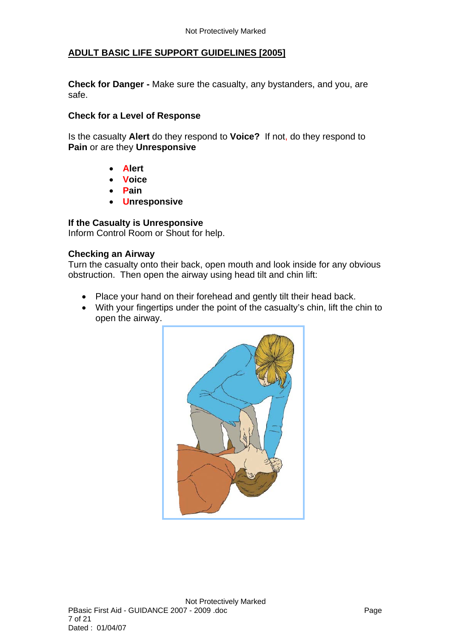### <span id="page-6-0"></span>**ADULT BASIC LIFE SUPPORT GUIDELINES [2005]**

**Check for Danger -** Make sure the casualty, any bystanders, and you, are safe.

#### **Check for a Level of Response**

Is the casualty **Alert** do they respond to **Voice?** If not, do they respond to **Pain** or are they **Unresponsive** 

- **Alert**
- **Voice**
- **Pain**
- **Unresponsive**

#### **If the Casualty is Unresponsive**

Inform Control Room or Shout for help.

#### **Checking an Airway**

Turn the casualty onto their back, open mouth and look inside for any obvious obstruction. Then open the airway using head tilt and chin lift:

- Place your hand on their forehead and gently tilt their head back.
- With your fingertips under the point of the casualty's chin, lift the chin to open the airway.

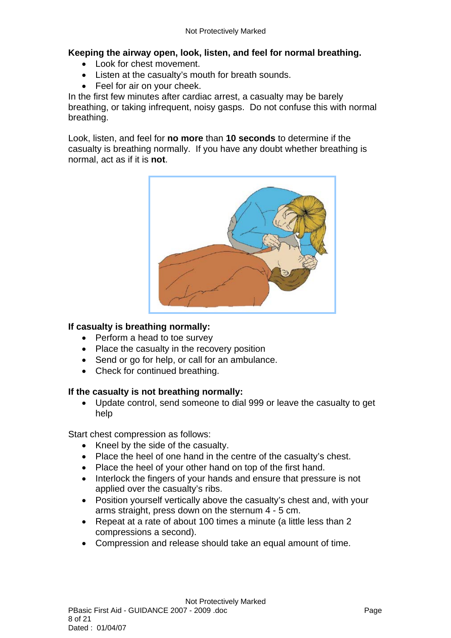# **Keeping the airway open, look, listen, and feel for normal breathing.**

- Look for chest movement.
- Listen at the casualty's mouth for breath sounds.
- Feel for air on your cheek.

In the first few minutes after cardiac arrest, a casualty may be barely breathing, or taking infrequent, noisy gasps. Do not confuse this with normal breathing.

Look, listen, and feel for **no more** than **10 seconds** to determine if the casualty is breathing normally. If you have any doubt whether breathing is normal, act as if it is **not**.



### **If casualty is breathing normally:**

- Perform a head to toe survey
- Place the casualty in the recovery position
- Send or go for help, or call for an ambulance.
- Check for continued breathing.

### **If the casualty is not breathing normally:**

 Update control, send someone to dial 999 or leave the casualty to get help

Start chest compression as follows:

- Kneel by the side of the casualty.
- Place the heel of one hand in the centre of the casualty's chest.
- Place the heel of your other hand on top of the first hand.
- Interlock the fingers of your hands and ensure that pressure is not applied over the casualty's ribs.
- Position yourself vertically above the casualty's chest and, with your arms straight, press down on the sternum 4 - 5 cm.
- Repeat at a rate of about 100 times a minute (a little less than 2 compressions a second).
- Compression and release should take an equal amount of time.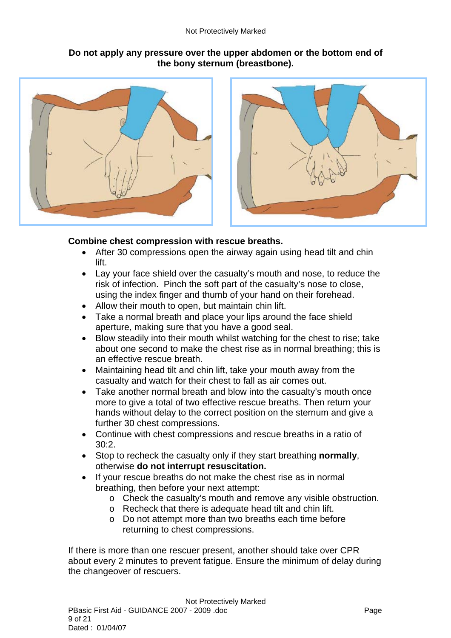#### Not Protectively Marked

### **Do not apply any pressure over the upper abdomen or the bottom end of the bony sternum (breastbone).**





### **Combine chest compression with rescue breaths.**

- After 30 compressions open the airway again using head tilt and chin lift.
- Lay your face shield over the casualty's mouth and nose, to reduce the risk of infection. Pinch the soft part of the casualty's nose to close, using the index finger and thumb of your hand on their forehead.
- Allow their mouth to open, but maintain chin lift.
- Take a normal breath and place your lips around the face shield aperture, making sure that you have a good seal.
- Blow steadily into their mouth whilst watching for the chest to rise; take about one second to make the chest rise as in normal breathing; this is an effective rescue breath.
- Maintaining head tilt and chin lift, take your mouth away from the casualty and watch for their chest to fall as air comes out.
- Take another normal breath and blow into the casualty's mouth once more to give a total of two effective rescue breaths. Then return your hands without delay to the correct position on the sternum and give a further 30 chest compressions.
- Continue with chest compressions and rescue breaths in a ratio of 30:2.
- Stop to recheck the casualty only if they start breathing **normally**, otherwise **do not interrupt resuscitation.**
- If your rescue breaths do not make the chest rise as in normal breathing, then before your next attempt:
	- o Check the casualty's mouth and remove any visible obstruction.
	- o Recheck that there is adequate head tilt and chin lift.
	- o Do not attempt more than two breaths each time before returning to chest compressions.

If there is more than one rescuer present, another should take over CPR about every 2 minutes to prevent fatigue. Ensure the minimum of delay during the changeover of rescuers.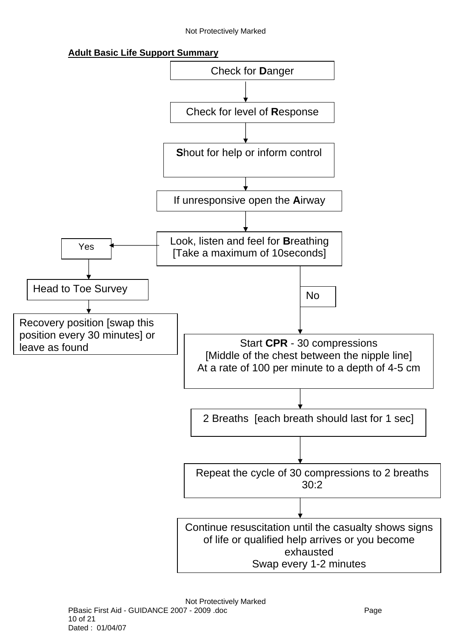#### Not Protectively Marked

**Adult Basic Life Support Summary**

<span id="page-9-0"></span>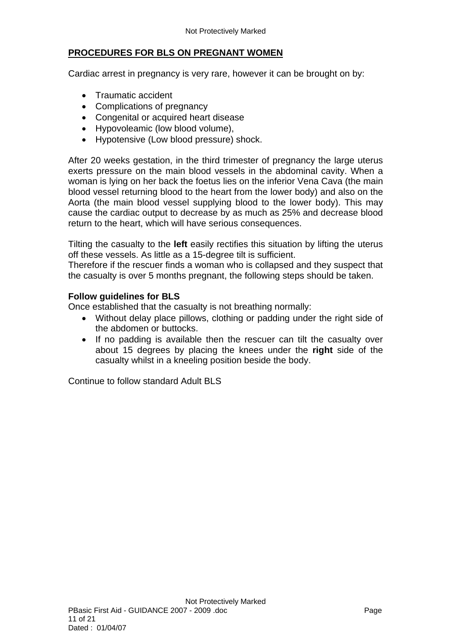# <span id="page-10-0"></span>**PROCEDURES FOR BLS ON PREGNANT WOMEN**

Cardiac arrest in pregnancy is very rare, however it can be brought on by:

- Traumatic accident
- Complications of pregnancy
- Congenital or acquired heart disease
- Hypovoleamic (low blood volume),
- Hypotensive (Low blood pressure) shock.

After 20 weeks gestation, in the third trimester of pregnancy the large uterus exerts pressure on the main blood vessels in the abdominal cavity. When a woman is lying on her back the foetus lies on the inferior Vena Cava (the main blood vessel returning blood to the heart from the lower body) and also on the Aorta (the main blood vessel supplying blood to the lower body). This may cause the cardiac output to decrease by as much as 25% and decrease blood return to the heart, which will have serious consequences.

Tilting the casualty to the **left** easily rectifies this situation by lifting the uterus off these vessels. As little as a 15-degree tilt is sufficient.

Therefore if the rescuer finds a woman who is collapsed and they suspect that the casualty is over 5 months pregnant, the following steps should be taken.

### **Follow guidelines for BLS**

Once established that the casualty is not breathing normally:

- Without delay place pillows, clothing or padding under the right side of the abdomen or buttocks.
- If no padding is available then the rescuer can tilt the casualty over about 15 degrees by placing the knees under the **right** side of the casualty whilst in a kneeling position beside the body.

Continue to follow standard Adult BLS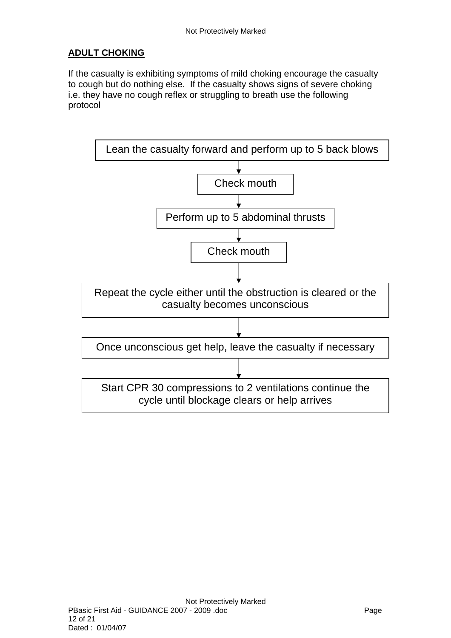# <span id="page-11-0"></span>**ADULT CHOKING**

If the casualty is exhibiting symptoms of mild choking encourage the casualty to cough but do nothing else. If the casualty shows signs of severe choking i.e. they have no cough reflex or struggling to breath use the following protocol

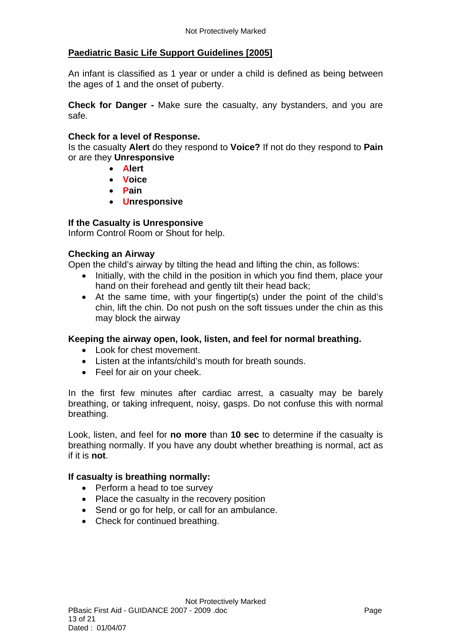### <span id="page-12-0"></span>**Paediatric Basic Life Support Guidelines [2005]**

An infant is classified as 1 year or under a child is defined as being between the ages of 1 and the onset of puberty.

**Check for Danger -** Make sure the casualty, any bystanders, and you are safe.

#### **Check for a level of Response.**

Is the casualty **Alert** do they respond to **Voice?** If not do they respond to **Pain**  or are they **Unresponsive** 

- **Alert**
- **Voice**
- **Pain**
- **Unresponsive**

#### **If the Casualty is Unresponsive**

Inform Control Room or Shout for help.

#### **Checking an Airway**

Open the child's airway by tilting the head and lifting the chin, as follows:

- Initially, with the child in the position in which you find them, place your hand on their forehead and gently tilt their head back;
- At the same time, with your fingertip(s) under the point of the child's chin, lift the chin. Do not push on the soft tissues under the chin as this may block the airway

#### **Keeping the airway open, look, listen, and feel for normal breathing.**

- Look for chest movement.
- Listen at the infants/child's mouth for breath sounds.
- Feel for air on your cheek.

In the first few minutes after cardiac arrest, a casualty may be barely breathing, or taking infrequent, noisy, gasps. Do not confuse this with normal breathing.

Look, listen, and feel for **no more** than **10 sec** to determine if the casualty is breathing normally. If you have any doubt whether breathing is normal, act as if it is **not**.

#### **If casualty is breathing normally:**

- Perform a head to toe survey
- Place the casualty in the recovery position
- Send or go for help, or call for an ambulance.
- Check for continued breathing.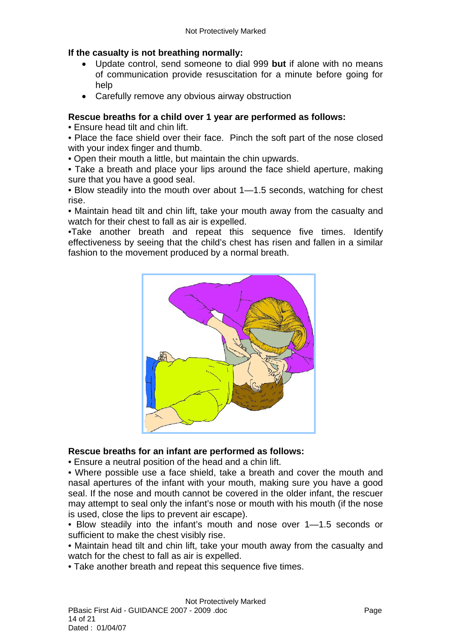### **If the casualty is not breathing normally:**

- Update control, send someone to dial 999 **but** if alone with no means of communication provide resuscitation for a minute before going for help
- Carefully remove any obvious airway obstruction

### **Rescue breaths for a child over 1 year are performed as follows:**

• Ensure head tilt and chin lift.

• Place the face shield over their face. Pinch the soft part of the nose closed with your index finger and thumb.

• Open their mouth a little, but maintain the chin upwards.

• Take a breath and place your lips around the face shield aperture, making sure that you have a good seal.

• Blow steadily into the mouth over about 1—1.5 seconds, watching for chest rise.

• Maintain head tilt and chin lift, take your mouth away from the casualty and watch for their chest to fall as air is expelled.

•Take another breath and repeat this sequence five times. Identify effectiveness by seeing that the child's chest has risen and fallen in a similar fashion to the movement produced by a normal breath.



### **Rescue breaths for an infant are performed as follows:**

• Ensure a neutral position of the head and a chin lift.

• Where possible use a face shield, take a breath and cover the mouth and nasal apertures of the infant with your mouth, making sure you have a good seal. If the nose and mouth cannot be covered in the older infant, the rescuer may attempt to seal only the infant's nose or mouth with his mouth (if the nose is used, close the lips to prevent air escape).

• Blow steadily into the infant's mouth and nose over 1—1.5 seconds or sufficient to make the chest visibly rise.

• Maintain head tilt and chin lift, take your mouth away from the casualty and watch for the chest to fall as air is expelled.

• Take another breath and repeat this sequence five times.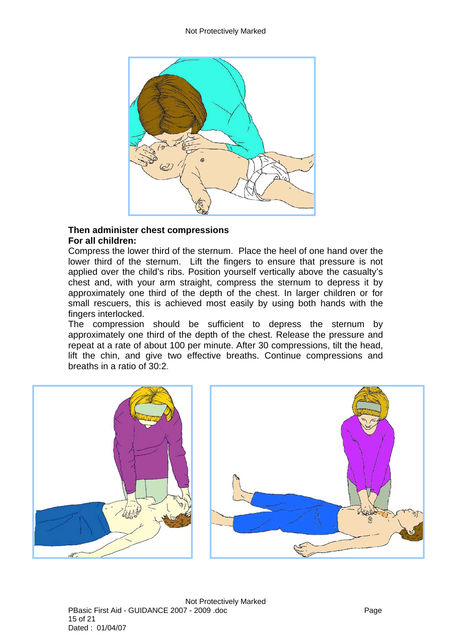

#### **Then administer chest compressions For all children:**

Compress the lower third of the sternum. Place the heel of one hand over the lower third of the sternum. Lift the fingers to ensure that pressure is not applied over the child's ribs. Position yourself vertically above the casualty's chest and, with your arm straight, compress the sternum to depress it by approximately one third of the depth of the chest. In larger children or for small rescuers, this is achieved most easily by using both hands with the fingers interlocked.

The compression should be sufficient to depress the sternum by approximately one third of the depth of the chest. Release the pressure and repeat at a rate of about 100 per minute. After 30 compressions, tilt the head, lift the chin, and give two effective breaths. Continue compressions and breaths in a ratio of 30:2.

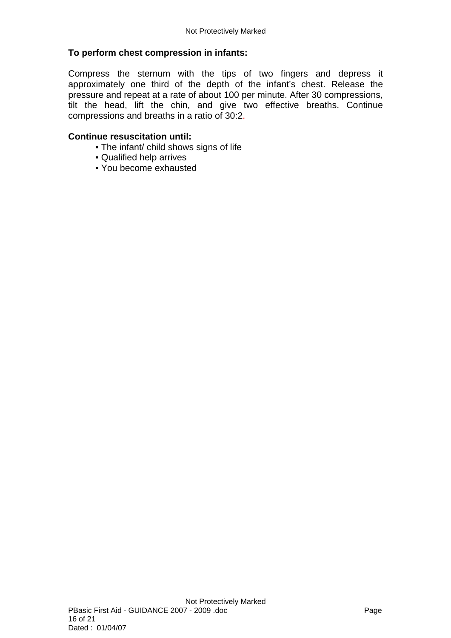### **To perform chest compression in infants:**

Compress the sternum with the tips of two fingers and depress it approximately one third of the depth of the infant's chest. Release the pressure and repeat at a rate of about 100 per minute. After 30 compressions, tilt the head, lift the chin, and give two effective breaths. Continue compressions and breaths in a ratio of 30:2.

#### **Continue resuscitation until:**

- The infant/ child shows signs of life
- Qualified help arrives
- You become exhausted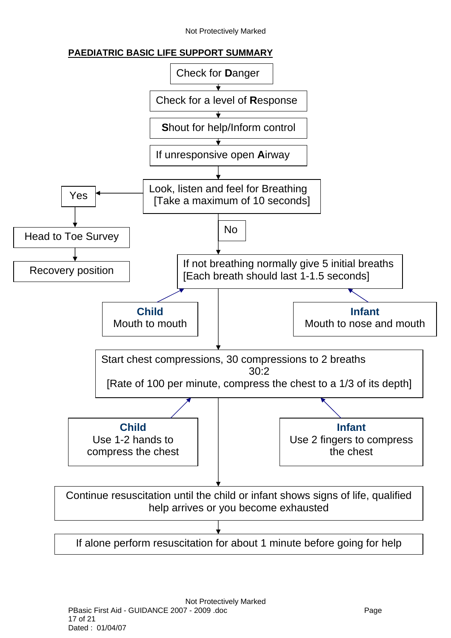Not Protectively Marked

### **PAEDIATRIC BASIC LIFE SUPPORT SUMMARY**

<span id="page-16-0"></span>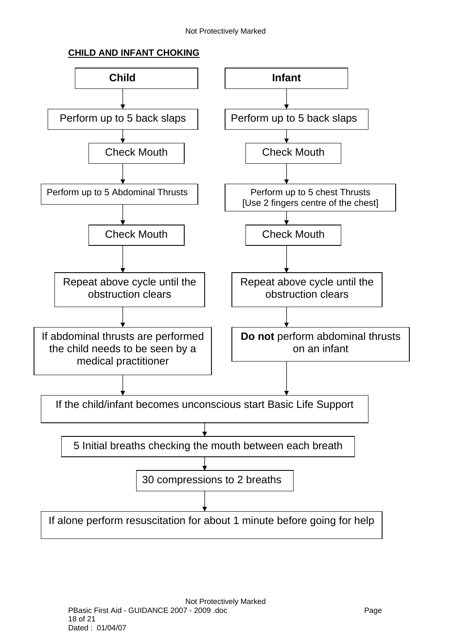# **CHILD AND INFANT CHOKING**

<span id="page-17-0"></span>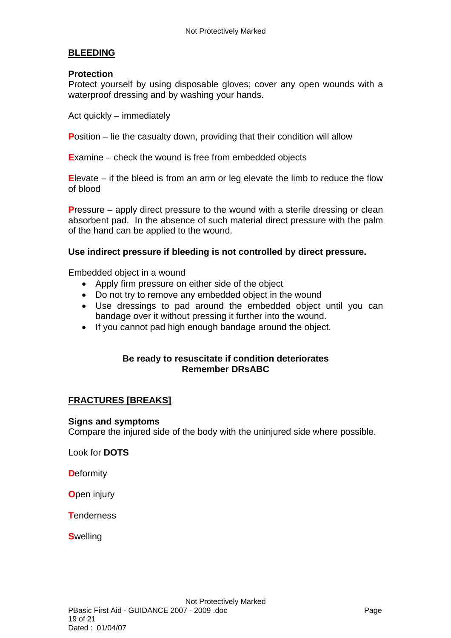### <span id="page-18-0"></span>**BLEEDING**

#### **Protection**

Protect yourself by using disposable gloves; cover any open wounds with a waterproof dressing and by washing your hands.

Act quickly – immediately

**Position – lie the casualty down, providing that their condition will allow** 

**E**xamine – check the wound is free from embedded objects

**E**levate – if the bleed is from an arm or leg elevate the limb to reduce the flow of blood

**P**ressure – apply direct pressure to the wound with a sterile dressing or clean absorbent pad. In the absence of such material direct pressure with the palm of the hand can be applied to the wound.

#### **Use indirect pressure if bleeding is not controlled by direct pressure.**

Embedded object in a wound

- Apply firm pressure on either side of the object
- Do not try to remove any embedded object in the wound
- Use dressings to pad around the embedded object until you can bandage over it without pressing it further into the wound.
- If you cannot pad high enough bandage around the object.

#### **Be ready to resuscitate if condition deteriorates Remember DRsABC**

#### <span id="page-18-1"></span>**FRACTURES [BREAKS]**

#### **Signs and symptoms**

Compare the injured side of the body with the uninjured side where possible.

Look for **DOTS**

**D**eformity

**O**pen injury

**T**enderness

**S**welling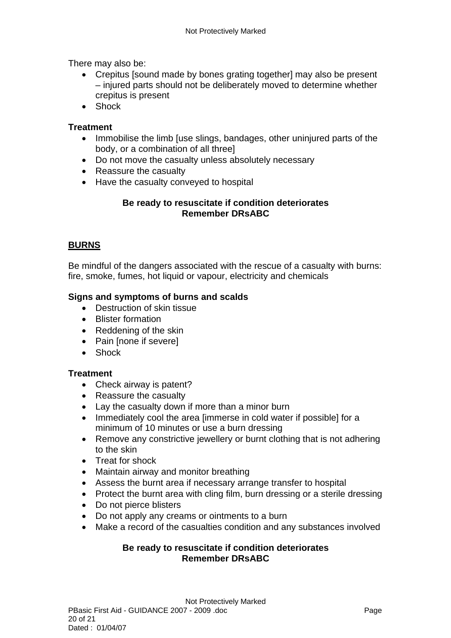There may also be:

- Crepitus [sound made by bones grating together] may also be present – injured parts should not be deliberately moved to determine whether crepitus is present
- Shock

### **Treatment**

- Immobilise the limb [use slings, bandages, other uninjured parts of the body, or a combination of all three]
- Do not move the casualty unless absolutely necessary
- Reassure the casualty
- Have the casualty conveyed to hospital

### **Be ready to resuscitate if condition deteriorates Remember DRsABC**

# <span id="page-19-0"></span>**BURNS**

Be mindful of the dangers associated with the rescue of a casualty with burns: fire, smoke, fumes, hot liquid or vapour, electricity and chemicals

### **Signs and symptoms of burns and scalds**

- Destruction of skin tissue
- Blister formation
- Reddening of the skin
- Pain [none if severe]
- Shock

### **Treatment**

- Check airway is patent?
- Reassure the casualty
- Lay the casualty down if more than a minor burn
- Immediately cool the area [immerse in cold water if possible] for a minimum of 10 minutes or use a burn dressing
- Remove any constrictive jewellery or burnt clothing that is not adhering to the skin
- Treat for shock
- Maintain airway and monitor breathing
- Assess the burnt area if necessary arrange transfer to hospital
- Protect the burnt area with cling film, burn dressing or a sterile dressing
- Do not pierce blisters
- Do not apply any creams or ointments to a burn
- Make a record of the casualties condition and any substances involved

### **Be ready to resuscitate if condition deteriorates Remember DRsABC**